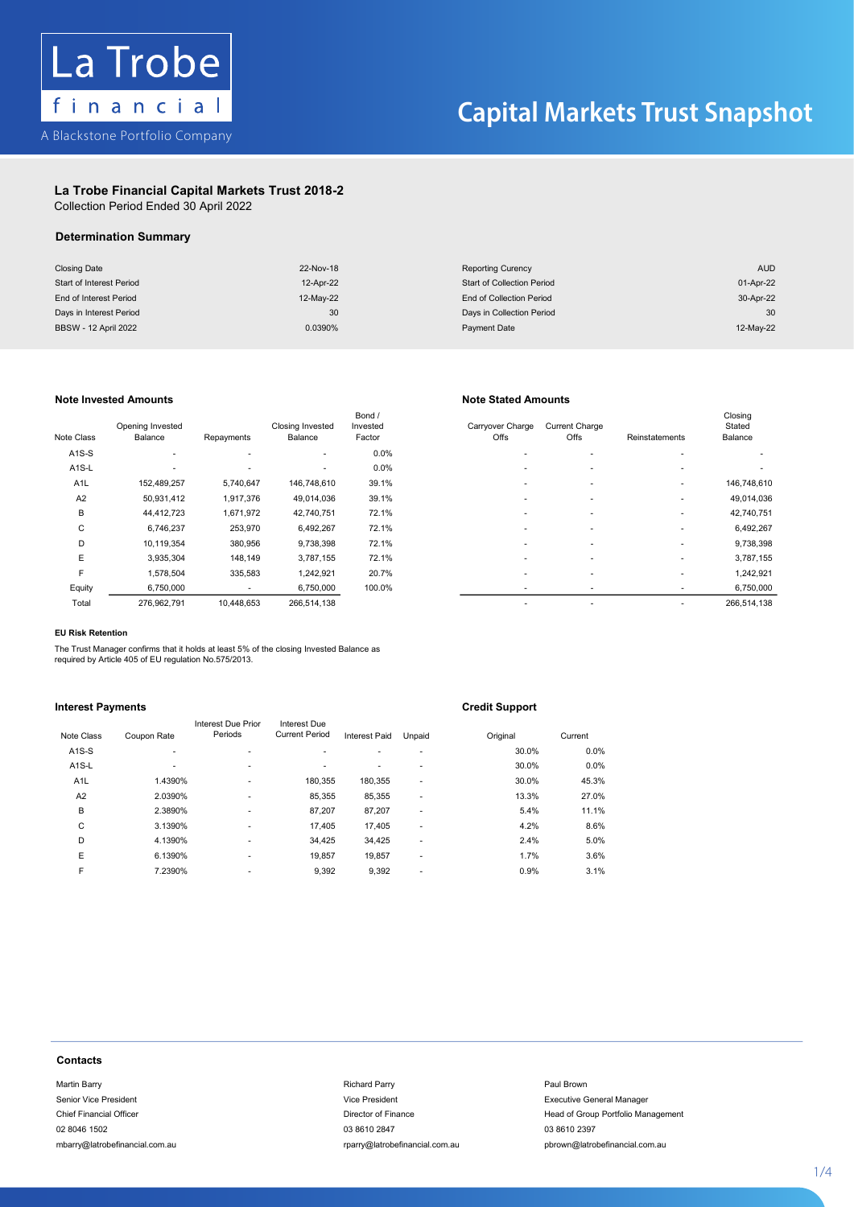

### La Trobe Financial Capital Markets Trust 2018-2

Collection Period Ended 30 April 2022 Collection Period Ended 30 April 2022

## Determination Summary

| <b>Closing Date</b>         | 22-Nov-18 | <b>Reporting Curency</b>          | <b>AUD</b> |
|-----------------------------|-----------|-----------------------------------|------------|
| Start of Interest Period    | 12-Apr-22 | <b>Start of Collection Period</b> | 01-Apr-22  |
| End of Interest Period      | 12-May-22 | End of Collection Period          | 30-Apr-22  |
| Days in Interest Period     | 30        | Days in Collection Period         | 30         |
| <b>BBSW - 12 April 2022</b> | 0.0390%   | Payment Date                      | 12-May-22  |

### Note Invested Amounts Note Stated Amounts

| Note Class         | Opening Invested<br>Balance | Repayments | Closing Invested<br>Balance | Bond /<br>Invested<br>Factor | Carryover Charge<br>Offs | <b>Current Charge</b><br>Offs | Reinstatements | Closing<br>Stated<br>Balance |
|--------------------|-----------------------------|------------|-----------------------------|------------------------------|--------------------------|-------------------------------|----------------|------------------------------|
| $A1S-S$            | ٠                           |            | ٠                           | 0.0%                         |                          |                               |                |                              |
| A <sub>1</sub> S-L |                             |            | $\overline{\phantom{a}}$    | 0.0%                         |                          |                               |                |                              |
| A <sub>1</sub> L   | 152,489,257                 | 5,740,647  | 146,748,610                 | 39.1%                        |                          |                               | $\sim$         | 146,748,610                  |
| A2                 | 50,931,412                  | 1,917,376  | 49,014,036                  | 39.1%                        |                          | ۰                             | ٠              | 49,014,036                   |
| B                  | 44,412,723                  | 1,671,972  | 42,740,751                  | 72.1%                        |                          |                               | ۰              | 42,740,751                   |
| C                  | 6,746,237                   | 253,970    | 6,492,267                   | 72.1%                        |                          |                               | ۰              | 6,492,267                    |
| D                  | 10,119,354                  | 380,956    | 9,738,398                   | 72.1%                        |                          |                               | ۰              | 9,738,398                    |
| E                  | 3,935,304                   | 148,149    | 3,787,155                   | 72.1%                        |                          |                               | ۰              | 3,787,155                    |
| F                  | 1,578,504                   | 335,583    | 1,242,921                   | 20.7%                        | $\overline{\phantom{a}}$ |                               | ۰              | 1,242,921                    |
| Equity             | 6,750,000                   | ٠          | 6,750,000                   | 100.0%                       |                          |                               |                | 6,750,000                    |
| Total              | 276 962 791                 | 10 448 653 | 266 514 138                 |                              | $\overline{\phantom{a}}$ |                               | ۰              | 266 514 138                  |

| e Class            | Opening Invested<br>Balance | Repayments | <b>Closing Invested</b><br>Balance | Bond /<br>Invested<br>Factor | Carryover Charge<br>Offs | <b>Current Charge</b><br>Offs | Reinstatements | Closing<br>Stated<br>Balance |
|--------------------|-----------------------------|------------|------------------------------------|------------------------------|--------------------------|-------------------------------|----------------|------------------------------|
| A1S-S              | ۰                           |            | ۰.                                 | 0.0%                         | ۰                        | $\overline{\phantom{a}}$      |                |                              |
| A <sub>1</sub> S-L |                             |            | ۰.                                 | $0.0\%$                      | ٠                        | $\overline{\phantom{a}}$      |                |                              |
| A <sub>1</sub> L   | 152,489,257                 | 5,740,647  | 146,748,610                        | 39.1%                        | ٠                        | $\overline{\phantom{a}}$      |                | 146,748,610                  |
| A2                 | 50,931,412                  | 1,917,376  | 49,014,036                         | 39.1%                        |                          |                               |                | 49,014,036                   |
| В                  | 44,412,723                  | 1,671,972  | 42,740,751                         | 72.1%                        |                          | $\overline{\phantom{a}}$      |                | 42,740,751                   |
| C                  | 6,746,237                   | 253,970    | 6,492,267                          | 72.1%                        |                          | $\sim$                        |                | 6,492,267                    |
| D                  | 10,119,354                  | 380,956    | 9,738,398                          | 72.1%                        | $\overline{\phantom{a}}$ | $\overline{\phantom{a}}$      |                | 9,738,398                    |
| E                  | 3,935,304                   | 148.149    | 3,787,155                          | 72.1%                        |                          | $\overline{\phantom{a}}$      |                | 3,787,155                    |
| F                  | 1,578,504                   | 335,583    | 1,242,921                          | 20.7%                        |                          | $\overline{\phantom{a}}$      |                | 1,242,921                    |
| Equity             | 6,750,000                   | ۰          | 6,750,000                          | 100.0%                       | $\overline{\phantom{a}}$ |                               |                | 6,750,000                    |
| Total              | 276,962,791                 | 10,448,653 | 266,514,138                        |                              | ٠                        | ٠                             |                | 266,514,138                  |
|                    |                             |            |                                    |                              |                          |                               |                |                              |

### EU Risk Retention

Equity 6,750,000 - 6,750,000 100.0% - - - 6,750,000 EU Risk Retention EU Risk Retention The Trust Manager confirms that it holds at least 5% of the closing Invested Balance as required by Article 405 of EU regulation No.575/2013.

## Interest Payments **invested Balance as Invested Balance as Invested Balance as Invested Balance as Invested Ba**<br>Interest Payments

| <b>Interest Payments</b>       |                                |                               |                                       |                                |        | <b>Credit Support</b> |                                    |  |
|--------------------------------|--------------------------------|-------------------------------|---------------------------------------|--------------------------------|--------|-----------------------|------------------------------------|--|
| Note Class                     | Coupon Rate                    | Interest Due Prior<br>Periods | Interest Due<br><b>Current Period</b> | Interest Paid                  | Unpaid | Original              | Current                            |  |
| $A1S-S$                        |                                | $\overline{a}$                | ٠                                     |                                |        | 30.0%                 | 0.0%                               |  |
| A <sub>1</sub> S-L             |                                | ٠                             | ä,                                    |                                |        | 30.0%                 | 0.0%                               |  |
| A <sub>1</sub> L               | 1.4390%                        | ٠                             | 180,355                               | 180,355                        |        | 30.0%                 | 45.3%                              |  |
| A <sub>2</sub>                 | 2.0390%                        |                               | 85,355                                | 85,355                         |        | 13.3%                 | 27.0%                              |  |
| в                              | 2.3890%                        | ٠                             | 87,207                                | 87,207                         | ٠      | 5.4%                  | 11.1%                              |  |
| C                              | 3.1390%                        |                               | 17,405                                | 17,405                         | ٠.     | 4.2%                  | 8.6%                               |  |
| D                              | 4.1390%                        | ٠                             | 34,425                                | 34,425                         |        | 2.4%                  | 5.0%                               |  |
| Ε                              | 6.1390%                        | ٠                             | 19,857                                | 19,857                         |        | 1.7%                  | 3.6%                               |  |
| F                              | 7.2390%                        | ٠                             | 9,392                                 | 9,392                          | ٠      | 0.9%                  | 3.1%                               |  |
|                                |                                |                               |                                       |                                |        |                       |                                    |  |
| <b>Contacts</b>                |                                |                               |                                       |                                |        |                       |                                    |  |
| Martin Barry                   |                                |                               |                                       | <b>Richard Parry</b>           |        |                       | Paul Brown                         |  |
| Senior Vice President          |                                |                               |                                       | Vice President                 |        |                       | <b>Executive General Manager</b>   |  |
| <b>Chief Financial Officer</b> |                                |                               |                                       | Director of Finance            |        |                       | Head of Group Portfolio Management |  |
| 02 8046 1502                   |                                |                               |                                       | 03 8610 2847                   |        |                       | 03 8610 2397                       |  |
|                                | mbarry@latrobefinancial.com.au |                               |                                       | rparry@latrobefinancial.com.au |        |                       | pbrown@latrobefinancial.com.au     |  |
|                                |                                |                               |                                       |                                |        |                       |                                    |  |
|                                |                                |                               |                                       |                                |        |                       |                                    |  |

### **Contacts** Senior Vice President Vice President Executive General Manager President Executive General Manager General Manager President Vice President President Accord General Manager President Accord General Manager President Accord  $S$  and  $S$  and  $V$  and  $V$  and  $V$   $\sim$   $V$   $\sim$   $V$   $\sim$   $V$   $\sim$   $V$   $\sim$   $V$   $\sim$   $V$   $\sim$   $V$   $\sim$   $V$   $\sim$   $V$   $\sim$   $V$   $\sim$   $V$   $\sim$   $V$   $\sim$   $V$   $\sim$   $V$   $\sim$   $V$   $\sim$   $V$   $\sim$   $V$   $\sim$   $V$   $\sim$   $V$   $\sim$   $V$   $\sim$  Chief Financial Officer Director of Finance Head of Group Portfolio Management

### 02 8046 1502 03 8610 2847 03 8610 2397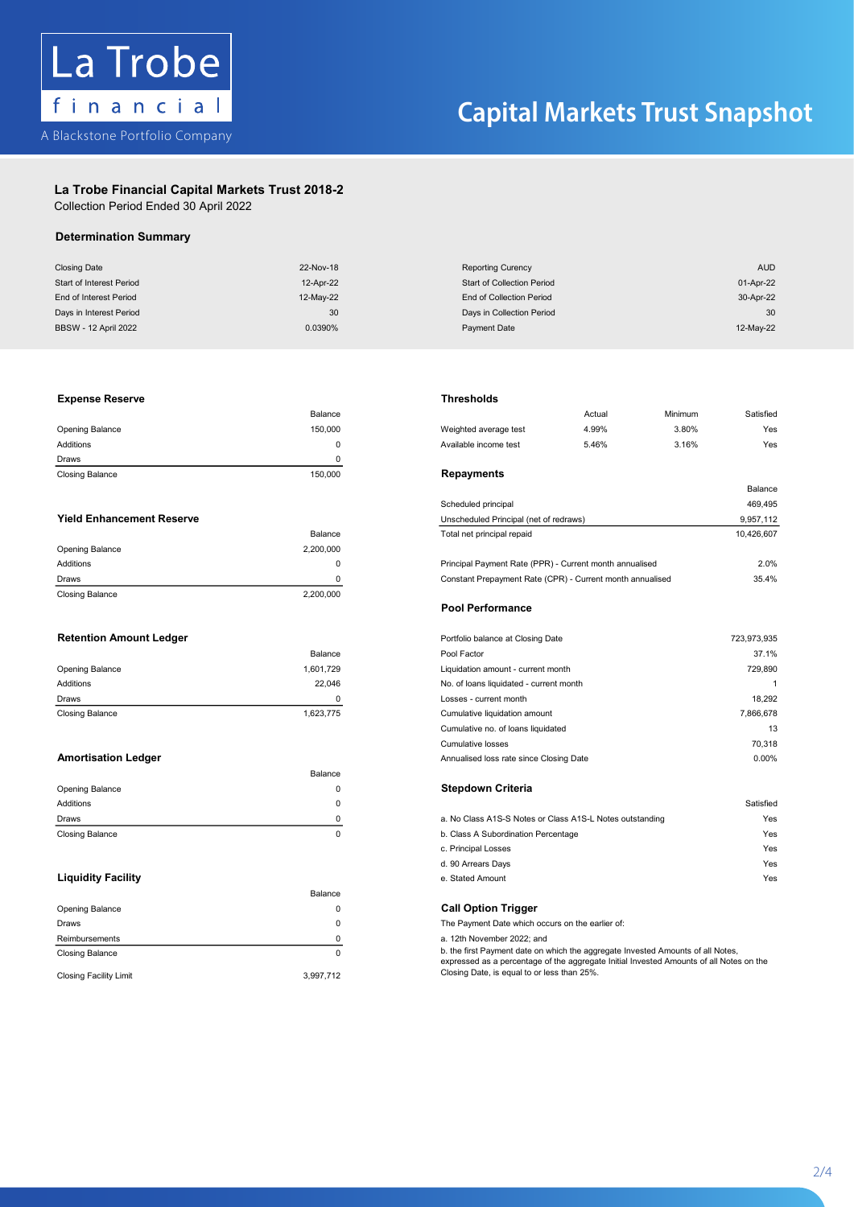

### La Trobe Financial Capital Markets Trust 2018-2 La Trobe Financial Capital Markets Trust 2018-2

Collection Period Ended 30 April 2022 Collection Period Ended 30 April 2022

### Determination Summary

| <b>Closing Date</b>         | 22-Nov-18 | <b>Reporting Curency</b>          | <b>AUD</b> |
|-----------------------------|-----------|-----------------------------------|------------|
| Start of Interest Period    | 12-Apr-22 | <b>Start of Collection Period</b> | 01-Apr-22  |
| End of Interest Period      | 12-May-22 | End of Collection Period          | 30-Apr-22  |
| Days in Interest Period     | 30        | Days in Collection Period         | 30         |
| <b>BBSW - 12 April 2022</b> | 0.0390%   | Payment Date                      | 12-May-22  |

### Experise Reserve **Experience and Accord average test 4.99% 3.80% 3.900 Weighted average test 4.99% 3.80% 3.80% 3.80% 3.80% 3.80% 3.80% 3.80% 3.80% 3.80% 3.80% 3.80% 3.80% 3.80% 3.80% 3.80% 3.80% 3.80% 3.80% 3.80% 3.80% 3.8** Opening Balance 150,000 Weighted average test 4.999 Weighted average test 4.999 Weighted average test 4.999 Weighted average test 4.999 Weighted average test 4.999 Weighted average test 4.999 Weighted average test 4.999 We Expense Reserve **Thresholds**

|                        | Balance |                  |
|------------------------|---------|------------------|
| Opening Balance        | 150.000 | Weighted averag  |
| Additions              |         | Available income |
| Draws                  |         |                  |
| <b>Closing Balance</b> | 150,000 | Repayments       |

|                        | Balance   |
|------------------------|-----------|
| <b>Opening Balance</b> | 2,200,000 |
| Additions              | 0         |
| Draws                  | 0         |
| <b>Closing Balance</b> | 2,200,000 |

|                        | Balance   |
|------------------------|-----------|
| Opening Balance        | 1,601,729 |
| <b>Additions</b>       | 22.046    |
| Draws                  |           |
| <b>Closing Balance</b> | 1,623,775 |

|                        | Balance |                                                          |           |
|------------------------|---------|----------------------------------------------------------|-----------|
| Opening Balance        |         | <b>Stepdown Criteria</b>                                 |           |
| Additions              |         |                                                          | Satisfied |
| Draws                  |         | a. No Class A1S-S Notes or Class A1S-L Notes outstanding | Yes       |
| <b>Closing Balance</b> |         | b. Class A Subordination Percentage                      | Yes       |

|                               | Balance   |                                                                                                                                                                            |
|-------------------------------|-----------|----------------------------------------------------------------------------------------------------------------------------------------------------------------------------|
| <b>Opening Balance</b>        |           | <b>Call Option Trigger</b>                                                                                                                                                 |
| <b>Draws</b>                  |           | The Payment Date which occurs on the earlier of:                                                                                                                           |
| Reimbursements                |           | a. 12th November 2022: and                                                                                                                                                 |
| Closing Balance               |           | b. the first Payment date on which the aggregate Invested Amounts of all Notes,<br>expressed as a percentage of the aggregate Initial Invested Amounts of all Notes on the |
| <b>Closing Facility Limit</b> | 3,997,712 | Closing Date, is equal to or less than 25%.                                                                                                                                |

|                                  | Balance     |                                                           | Actual | Minimum | Satisfied  |
|----------------------------------|-------------|-----------------------------------------------------------|--------|---------|------------|
| <b>Opening Balance</b>           | 150.000     | Weighted average test                                     | 4.99%  | 3.80%   | Yes        |
| Additions                        | $\mathbf 0$ | Available income test                                     | 5.46%  | 3.16%   | Yes        |
| Draws                            | 0           |                                                           |        |         |            |
| <b>Closing Balance</b>           | 150,000     | Repayments                                                |        |         |            |
|                                  |             |                                                           |        |         | Balance    |
|                                  |             | Scheduled principal                                       |        |         | 469,495    |
| <b>Yield Enhancement Reserve</b> |             | Unscheduled Principal (net of redraws)                    |        |         | 9,957,112  |
|                                  | Balance     | Total net principal repaid                                |        |         | 10,426,607 |
| <b>Opening Balance</b>           | 2,200,000   |                                                           |        |         |            |
| Additions                        | $\Omega$    | Principal Payment Rate (PPR) - Current month annualised   |        |         | 2.0%       |
| Draws                            |             | Constant Prepayment Rate (CPR) - Current month annualised |        |         | 35.4%      |

### Retention Amount Ledger Portfolio balance at Closing Date 723,973,935 Pool Performance Pool Performance

| <b>Retention Amount Ledger</b> |           | Portfolio balance at Closing Date       | 723,973,935 |
|--------------------------------|-----------|-----------------------------------------|-------------|
|                                | Balance   | Pool Factor                             | 37.1%       |
| <b>Opening Balance</b>         | 1,601,729 | Liquidation amount - current month      | 729.890     |
| Additions                      | 22.046    | No. of loans liquidated - current month |             |
| Draws                          | $\Omega$  | Losses - current month                  | 18,292      |
| <b>Closing Balance</b>         | 1,623,775 | Cumulative liquidation amount           | 7,866,678   |
|                                |           | Cumulative no. of loans liquidated      | 13          |
|                                |           | <b>Cumulative losses</b>                | 70,318      |
| <b>Amortisation Ledger</b>     |           | Annualised loss rate since Closing Date | 0.00%       |

| Draws                     | 0. | a. No Class A1S-S Notes or Class A1S-L Notes outstanding | Yes |
|---------------------------|----|----------------------------------------------------------|-----|
| <b>Closing Balance</b>    |    | b. Class A Subordination Percentage                      | Yes |
|                           |    | c. Principal Losses                                      | Yes |
|                           |    | d. 90 Arrears Days                                       | Yes |
| <b>Liquidity Facility</b> |    | e. Stated Amount                                         | Yes |

 $\overline{\phantom{a}}$ 

2 - 4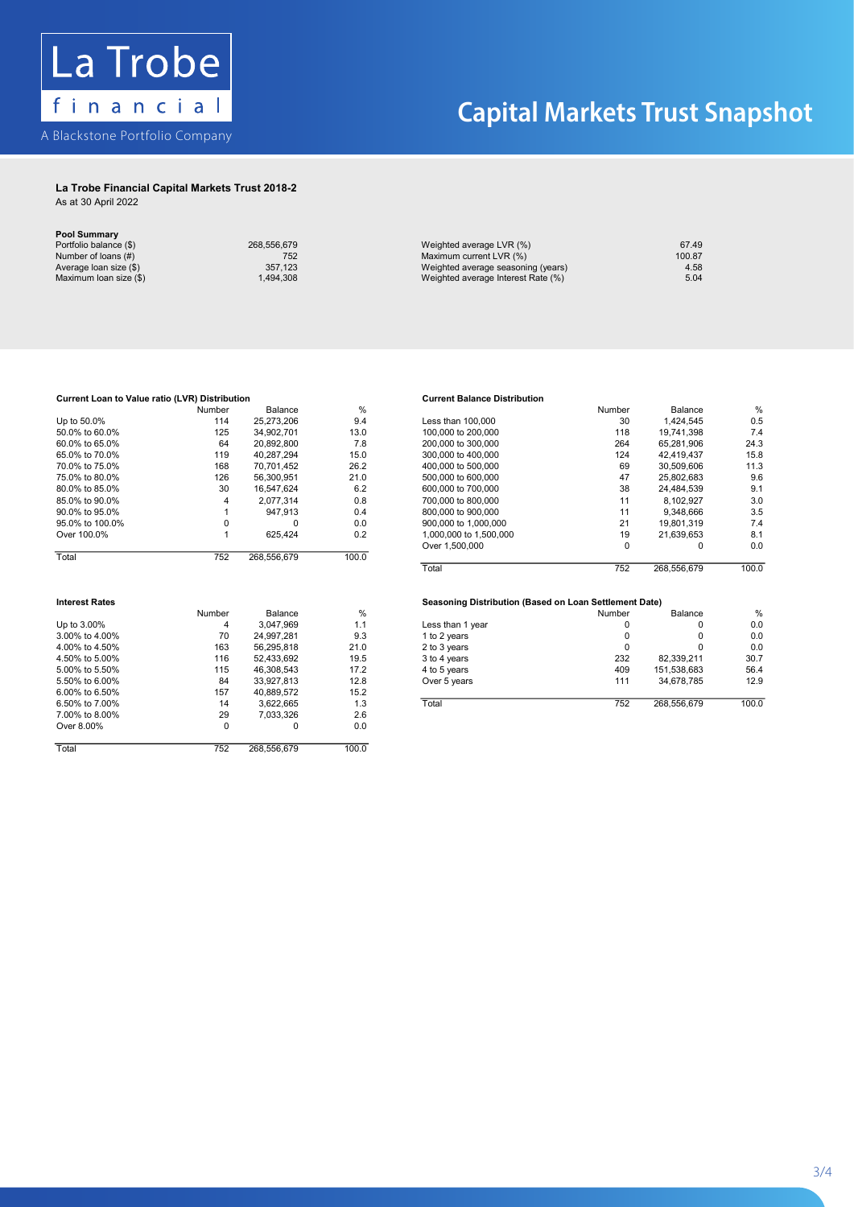

### La Trobe Financial Capital Markets Trust 2018-2 La Trobe Financial Capital Markets Trust 2018-2

| As at 30 April 2022 |  |
|---------------------|--|
|---------------------|--|

| <b>Pool Summary</b>    |             |
|------------------------|-------------|
| Portfolio balance (\$) | 268.556.679 |
| Number of loans (#)    | 752         |
| Average loan size (\$) | 357.123     |
| Maximum Ioan size (\$) | 1.494.308   |

| 268.556.679 |
|-------------|
| 752         |
| 357.123     |
| 1,494,308   |
|             |

| 268.556.679 | Weighted average LVR (%)           | 67.49  |
|-------------|------------------------------------|--------|
| 752         | Maximum current LVR (%)            | 100.87 |
| 357.123     | Weighted average seasoning (years) | 4.58   |
| .494.308    | Weighted average Interest Rate (%) | 5.04   |
|             |                                    |        |

## Current Loan to Value ratio (LVR) Distribution<br>Current Balance Distribution and the Current Balance Distribution and the Current Balance Distribution and the

| Current Loan to Value ratio (LVR) Distribution |        |              |               | <b>Current Balance Distribution</b>                    |        |             |                |
|------------------------------------------------|--------|--------------|---------------|--------------------------------------------------------|--------|-------------|----------------|
|                                                | Number | Balance      | $\frac{0}{0}$ |                                                        | Number | Balance     | %              |
| Up to 50.0%                                    | 114    | 25,273,206   | 9.4           | Less than 100,000                                      | 30     | 1,424,545   | 0.5            |
| 50.0% to 60.0%                                 | 125    | 34,902,701   | 13.0          | 100,000 to 200,000                                     | 118    | 19,741,398  | 7.4            |
| 60.0% to 65.0%                                 | 64     | 20,892,800   | 7.8           | 200,000 to 300,000                                     | 264    | 65,281,906  | 24.3           |
| 65.0% to 70.0%                                 | 119    | 40,287,294   | 15.0          | 300,000 to 400,000                                     | 124    | 42,419,437  | 15.8           |
| 70.0% to 75.0%                                 | 168    | 70,701,452   | 26.2          | 400,000 to 500,000                                     | 69     | 30,509,606  | 11.3           |
| 75.0% to 80.0%                                 | 126    | 56.300.951   | 21.0          | 500,000 to 600,000                                     | 47     | 25.802.683  | 9.6            |
| 80.0% to 85.0%                                 | 30     | 16,547,624   | 6.2           | 600,000 to 700,000                                     | 38     | 24,484,539  | 9.1            |
| 85.0% to 90.0%                                 |        | 2,077,314    | 0.8           | 700,000 to 800,000                                     | 11     | 8,102,927   | 3 <sub>c</sub> |
| 90.0% to 95.0%                                 |        | 947,913      | 0.4           | 800,000 to 900,000                                     | 11     | 9,348,666   | 3.5            |
| 95.0% to 100.0%                                | 0      | <sup>0</sup> | 0.0           | 900,000 to 1,000,000                                   | 21     | 19,801,319  | 7.4            |
| Over 100.0%                                    |        | 625,424      | 0.2           | 1,000,000 to 1,500,000                                 | 19     | 21,639,653  | 8.1            |
|                                                |        |              |               | Over 1,500,000                                         | 0      | 0           | 0.0            |
| Total                                          | 752    | 268,556,679  | 100.0         |                                                        |        |             |                |
|                                                |        |              |               | Total                                                  | 752    | 268,556,679 | 100.0          |
| <b>Interest Rates</b>                          |        |              |               | Seasoning Distribution (Based on Loan Settlement Date) |        |             |                |
|                                                | Number | Balance      | $\frac{0}{0}$ |                                                        | Number | Balance     | %              |
| Up to 3.00%                                    | 4      | 3,047,969    | 1.1           | Less than 1 year                                       | 0      | 0           | 0.0            |
| 3.00% to 4.00%                                 | 70     | 24.997.281   | 9.3           | 1 to 2 years                                           | 0      | 0           | 0.0            |
| 4.00% to 4.50%                                 | 163    | 56,295,818   | 21.0          | 2 to 3 years                                           | 0      | 0           | 0.0            |
| 4.50% to 5.00%                                 | 116    | 52,433,692   | 19.5          | 3 to 4 years                                           | 232    | 82,339,211  | 30.7           |
| 5.00% to 5.50%                                 | 115    | 46,308,543   | 17.2          | 4 to 5 years                                           | 409    | 151,538,683 | 56.4           |
| 5.50% to 6.00%                                 | 84     | 33,927,813   | 12.8          | Over 5 years                                           | 111    | 34,678,785  | 12.9           |
| 6.00% to 6.50%                                 | 157    | 40,889,572   | 15.2          |                                                        |        |             |                |
| 6.50% to 7.00%                                 | 14     | 3,622,665    | 1.3           | Total                                                  | 752    | 268,556,679 | 100.0          |
| 7.00% to 8.00%                                 | 29     | 7,033,326    | 2.6           |                                                        |        |             |                |
| Over 8.00%                                     | 0      | 0            | 0.0           |                                                        |        |             |                |
| Total                                          | 752    | 268,556,679  | 100.0         |                                                        |        |             |                |

|                 | ,,,,,,,,,, | <b>DUNIOU</b> | $\sim$ |                        | ,,,,,,,,,, | pananoo     | $\overline{\phantom{a}}$ |
|-----------------|------------|---------------|--------|------------------------|------------|-------------|--------------------------|
| Up to 50.0%     | 114        | 25.273.206    | 9.4    | Less than 100.000      | 30         | 1.424.545   | 0.5                      |
| 50.0% to 60.0%  | 125        | 34.902.701    | 13.0   | 100,000 to 200,000     | 118        | 19.741.398  | 7.4                      |
| 60.0% to 65.0%  | 64         | 20.892.800    | 7.8    | 200,000 to 300,000     | 264        | 65.281.906  | 24.3                     |
| 65.0% to 70.0%  | 119        | 40.287.294    | 15.0   | 300,000 to 400,000     | 124        | 42.419.437  | 15.8                     |
| 70.0% to 75.0%  | 168        | 70.701.452    | 26.2   | 400,000 to 500,000     | 69         | 30.509.606  | 11.3                     |
| 75.0% to 80.0%  | 126        | 56.300.951    | 21.0   | 500,000 to 600,000     | 47         | 25.802.683  | 9.6                      |
| 80.0% to 85.0%  | 30         | 16.547.624    | 6.2    | 600,000 to 700,000     | 38         | 24.484.539  | 9.1                      |
| 85.0% to 90.0%  |            | 2.077.314     | 0.8    | 700,000 to 800,000     | 11         | 8.102.927   | 3.0                      |
| 90.0% to 95.0%  |            | 947.913       | 0.4    | 800,000 to 900,000     | 11         | 9.348.666   | 3.5                      |
| 95.0% to 100.0% |            |               | 0.0    | 900,000 to 1,000,000   | 21         | 19.801.319  | 7.4                      |
| Over 100.0%     |            | 625.424       | 0.2    | 1,000,000 to 1,500,000 | 19         | 21.639.653  | 8.1                      |
|                 |            |               |        | Over 1,500,000         |            |             | 0.0                      |
| Total           | 752        | 268.556.679   | 100.0  |                        |            |             |                          |
|                 |            |               |        | Total                  | 752        | 268.556.679 | 100.0                    |

|                | Number | Balance    | %    |                  | Number | Balance     | %     |
|----------------|--------|------------|------|------------------|--------|-------------|-------|
| Up to 3.00%    |        | 3.047.969  | 1.1  | Less than 1 year |        |             | 0.0   |
| 3.00% to 4.00% | 70     | 24.997.281 | 9.3  | 1 to 2 vears     |        |             | 0.0   |
| 4.00% to 4.50% | 163    | 56.295.818 | 21.0 | 2 to 3 years     |        |             | 0.0   |
| 4.50% to 5.00% | 116    | 52.433.692 | 19.5 | 3 to 4 years     | 232    | 82.339.211  | 30.7  |
| 5.00% to 5.50% | 115    | 46.308.543 | 17.2 | 4 to 5 years     | 409    | 151.538.683 | 56.4  |
| 5.50% to 6.00% | 84     | 33.927.813 | 12.8 | Over 5 years     | 111    | 34.678.785  | 12.9  |
| 6.00% to 6.50% | 157    | 40.889.572 | 15.2 |                  |        |             |       |
| 6.50% to 7.00% | 14     | 3.622.665  | 1.3  | Total            | 752    | 268.556.679 | 100.0 |